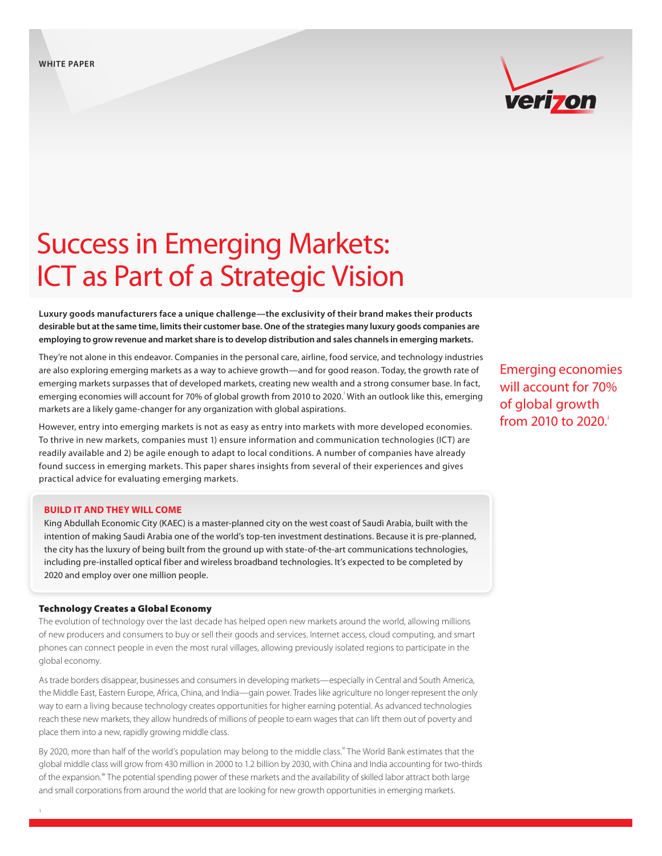

# Success in Emerging Markets: ICT as Part of a Strategic Vision

**Luxury goods manufacturers face a unique challenge—the exclusivity of their brand makes their products desirable but at the same time, limits their customer base. One of the strategies many luxury goods companies are employing to grow revenue and market share is to develop distribution and sales channels in emerging markets.**

They're not alone in this endeavor. Companies in the personal care, airline, food service, and technology industries are also exploring emerging markets as a way to achieve growth—and for good reason. Today, the growth rate of emerging markets surpasses that of developed markets, creating new wealth and a strong consumer base. In fact, emerging economies will account for 70% of global growth from 2010 to 2020. With an outlook like this, emerging markets are a likely game-changer for any organization with global aspirations.

However, entry into emerging markets is not as easy as entry into markets with more developed economies. To thrive in new markets, companies must 1) ensure information and communication technologies (ICT) are readily available and 2) be agile enough to adapt to local conditions. A number of companies have already found success in emerging markets. This paper shares insights from several of their experiences and gives practical advice for evaluating emerging markets.

#### **BUILD IT AND THEY WILL COME**

King Abdullah Economic City (KAEC) is a master-planned city on the west coast of Saudi Arabia, built with the intention of making Saudi Arabia one of the world's top-ten investment destinations. Because it is pre-planned, the city has the luxury of being built from the ground up with state-of-the-art communications technologies, including pre-installed optical fiber and wireless broadband technologies. It's expected to be completed by 2020 and employ over one million people.

## Technology Creates a Global Economy

The evolution of technology over the last decade has helped open new markets around the world, allowing millions of new producers and consumers to buy or sell their goods and services. Internet access, cloud computing, and smart phones can connect people in even the most rural villages, allowing previously isolated regions to participate in the global economy.

As trade borders disappear, businesses and consumers in developing markets—especially in Central and South America, the Middle East, Eastern Europe, Africa, China, and India—gain power. Trades like agriculture no longer represent the only way to earn a living because technology creates opportunities for higher earning potential. As advanced technologies reach these new markets, they allow hundreds of millions of people to earn wages that can lift them out of poverty and place them into a new, rapidly growing middle class.

By 2020, more than half of the world's population may belong to the middle class." The World Bank estimates that the global middle class will grow from 430 million in 2000 to 1.2 billion by 2030, with China and India accounting for two-thirds of the expansion.<sup>ii</sup> The potential spending power of these markets and the availability of skilled labor attract both large and small corporations from around the world that are looking for new growth opportunities in emerging markets.

Emerging economies will account for 70% of global growth from 2010 to 2020.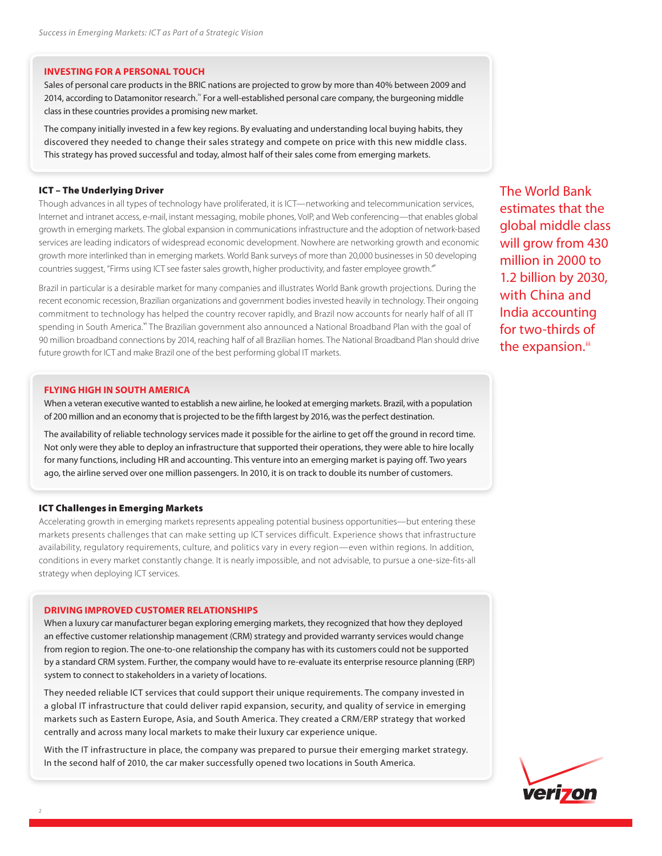## **INVESTING FOR A PERSONAL TOUCH**

Sales of personal care products in the BRIC nations are projected to grow by more than 40% between 2009 and 2014, according to Datamonitor research.<sup>"</sup> For a well-established personal care company, the burgeoning middle class in these countries provides a promising new market.

The company initially invested in a few key regions. By evaluating and understanding local buying habits, they discovered they needed to change their sales strategy and compete on price with this new middle class. This strategy has proved successful and today, almost half of their sales come from emerging markets.

#### ICT – The Underlying Driver

Though advances in all types of technology have proliferated, it is ICT—networking and telecommunication services, Internet and intranet access, e-mail, instant messaging, mobile phones, VoIP, and Web conferencing—that enables global growth in emerging markets. The global expansion in communications infrastructure and the adoption of network-based services are leading indicators of widespread economic development. Nowhere are networking growth and economic growth more interlinked than in emerging markets. World Bank surveys of more than 20,000 businesses in 50 developing countries suggest, "Firms using ICT see faster sales growth, higher productivity, and faster employee growth."

Brazil in particular is a desirable market for many companies and illustrates World Bank growth projections. During the recent economic recession, Brazilian organizations and government bodies invested heavily in technology. Their ongoing commitment to technology has helped the country recover rapidly, and Brazil now accounts for nearly half of all IT spending in South America.<sup>vi</sup> The Brazilian government also announced a National Broadband Plan with the goal of 90 million broadband connections by 2014, reaching half of all Brazilian homes. The National Broadband Plan should drive future growth for ICT and make Brazil one of the best performing global IT markets.

#### **FLYING HIGH IN SOUTH AMERICA**

When a veteran executive wanted to establish a new airline, he looked at emerging markets. Brazil, with a population of 200 million and an economy that is projected to be the fifth largest by 2016, was the perfect destination.

The availability of reliable technology services made it possible for the airline to get off the ground in record time. Not only were they able to deploy an infrastructure that supported their operations, they were able to hire locally for many functions, including HR and accounting. This venture into an emerging market is paying off. Two years ago, the airline served over one million passengers. In 2010, it is on track to double its number of customers.

#### ICT Challenges in Emerging Markets

Accelerating growth in emerging markets represents appealing potential business opportunities—but entering these markets presents challenges that can make setting up ICT services difficult. Experience shows that infrastructure availability, regulatory requirements, culture, and politics vary in every region—even within regions. In addition, conditions in every market constantly change. It is nearly impossible, and not advisable, to pursue a one-size-fits-all strategy when deploying ICT services.

#### **DRIVING IMPROVED CUSTOMER RELATIONSHIPS**

When a luxury car manufacturer began exploring emerging markets, they recognized that how they deployed an effective customer relationship management (CRM) strategy and provided warranty services would change from region to region. The one-to-one relationship the company has with its customers could not be supported by a standard CRM system. Further, the company would have to re-evaluate its enterprise resource planning (ERP) system to connect to stakeholders in a variety of locations.

They needed reliable ICT services that could support their unique requirements. The company invested in a global IT infrastructure that could deliver rapid expansion, security, and quality of service in emerging markets such as Eastern Europe, Asia, and South America. They created a CRM/ERP strategy that worked centrally and across many local markets to make their luxury car experience unique.

With the IT infrastructure in place, the company was prepared to pursue their emerging market strategy. In the second half of 2010, the car maker successfully opened two locations in South America.

The World Bank estimates that the global middle class will grow from 430 million in 2000 to 1.2 billion by 2030, with China and India accounting for two-thirds of the expansion.<sup>iii</sup>

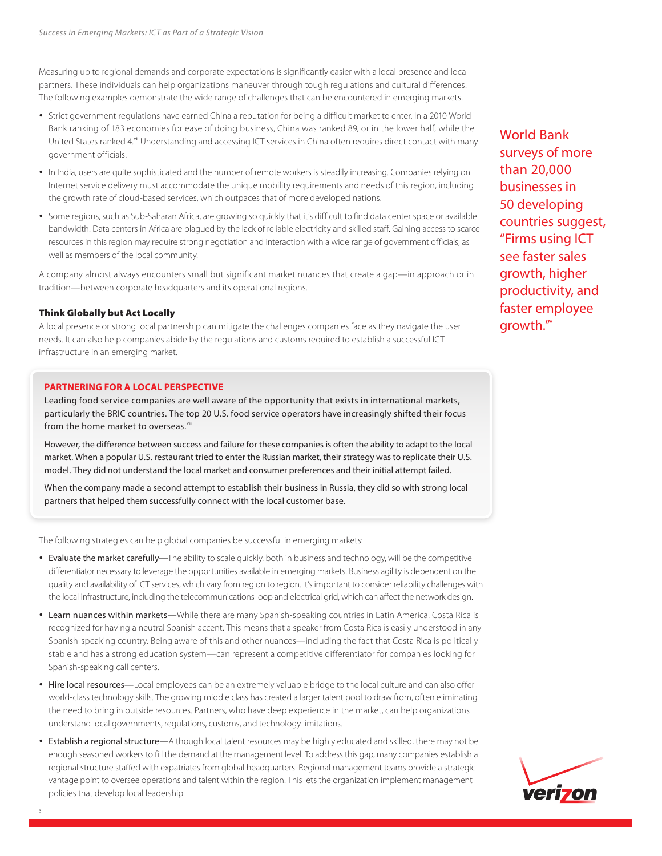Measuring up to regional demands and corporate expectations is significantly easier with a local presence and local partners. These individuals can help organizations maneuver through tough regulations and cultural differences. The following examples demonstrate the wide range of challenges that can be encountered in emerging markets.

- **•** Strict government regulations have earned China a reputation for being a difficult market to enter. In a 2010 World Bank ranking of 183 economies for ease of doing business, China was ranked 89, or in the lower half, while the United States ranked 4.<sup>vii</sup> Understanding and accessing ICT services in China often requires direct contact with many government officials.
- **•** In India, users are quite sophisticated and the number of remote workers is steadily increasing. Companies relying on Internet service delivery must accommodate the unique mobility requirements and needs of this region, including the growth rate of cloud-based services, which outpaces that of more developed nations.
- **•** Some regions, such as Sub-Saharan Africa, are growing so quickly that it's difficult to find data center space or available bandwidth. Data centers in Africa are plagued by the lack of reliable electricity and skilled staff. Gaining access to scarce resources in this region may require strong negotiation and interaction with a wide range of government officials, as well as members of the local community.

A company almost always encounters small but significant market nuances that create a gap—in approach or in tradition—between corporate headquarters and its operational regions.

## Think Globally but Act Locally

A local presence or strong local partnership can mitigate the challenges companies face as they navigate the user needs. It can also help companies abide by the regulations and customs required to establish a successful ICT infrastructure in an emerging market.

## **PARTNERING FOR A LOCAL PERSPECTIVE**

Leading food service companies are well aware of the opportunity that exists in international markets, particularly the BRIC countries. The top 20 U.S. food service operators have increasingly shifted their focus from the home market to overseas.<sup>vii</sup>

However, the difference between success and failure for these companies is often the ability to adapt to the local market. When a popular U.S. restaurant tried to enter the Russian market, their strategy was to replicate their U.S. model. They did not understand the local market and consumer preferences and their initial attempt failed.

When the company made a second attempt to establish their business in Russia, they did so with strong local partners that helped them successfully connect with the local customer base.

The following strategies can help global companies be successful in emerging markets:

- **•** Evaluate the market carefully—The ability to scale quickly, both in business and technology, will be the competitive differentiator necessary to leverage the opportunities available in emerging markets. Business agility is dependent on the quality and availability of ICT services, which vary from region to region. It's important to consider reliability challenges with the local infrastructure, including the telecommunications loop and electrical grid, which can affect the network design.
- **•** Learn nuances within markets—While there are many Spanish-speaking countries in Latin America, Costa Rica is recognized for having a neutral Spanish accent. This means that a speaker from Costa Rica is easily understood in any Spanish-speaking country. Being aware of this and other nuances—including the fact that Costa Rica is politically stable and has a strong education system—can represent a competitive differentiator for companies looking for Spanish-speaking call centers.
- **•** Hire local resources—Local employees can be an extremely valuable bridge to the local culture and can also offer world-class technology skills. The growing middle class has created a larger talent pool to draw from, often eliminating the need to bring in outside resources. Partners, who have deep experience in the market, can help organizations understand local governments, regulations, customs, and technology limitations.
- **•** Establish a regional structure—Although local talent resources may be highly educated and skilled, there may not be enough seasoned workers to fill the demand at the management level. To address this gap, many companies establish a regional structure staffed with expatriates from global headquarters. Regional management teams provide a strategic vantage point to oversee operations and talent within the region. This lets the organization implement management policies that develop local leadership.

World Bank surveys of more than 20,000 businesses in 50 developing countries suggest, "Firms using ICT see faster sales growth, higher productivity, and faster employee arowth."